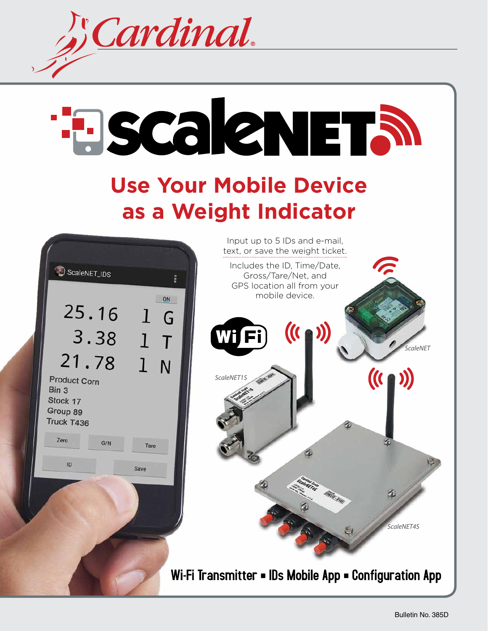

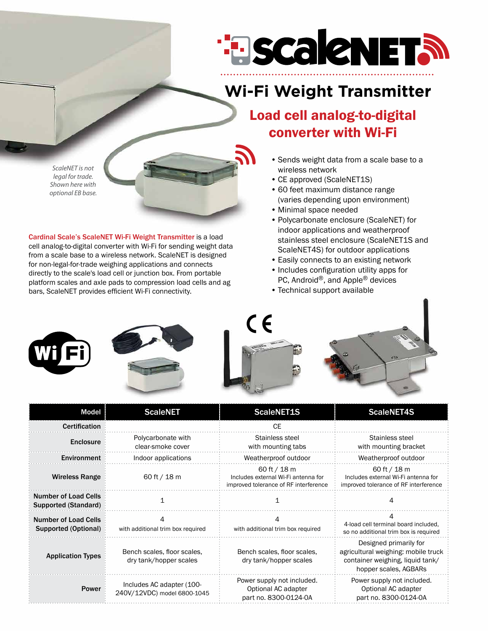

# **Wi-Fi Weight Transmitter**

### Load cell analog-to-digital converter with Wi-Fi

*ScaleNET is not legal for trade. Shown here with optional EB base.*

Cardinal Scale's ScaleNET Wi-Fi Weight Transmitter is a load cell analog-to-digital converter with Wi-Fi for sending weight data from a scale base to a wireless network. ScaleNET is designed for non-legal-for-trade weighing applications and connects directly to the scale's load cell or junction box. From portable platform scales and axle pads to compression load cells and ag bars, ScaleNET provides efficient Wi-Fi connectivity.

- Sends weight data from a scale base to a wireless network
- CE approved (ScaleNET1S)
- 60 feet maximum distance range (varies depending upon environment)
- • Minimal space needed
- • Polycarbonate enclosure (ScaleNET) for indoor applications and weatherproof stainless steel enclosure (ScaleNET1S and ScaleNET4S) for outdoor applications
- Easily connects to an existing network
- Includes configuration utility apps for PC, Android®, and Apple® devices
- Technical support available



| Model                                               | <b>ScaleNET</b>                                          | <b>ScaleNET1S</b>                                                                              | <b>ScaleNET4S</b>                                                                                                          |
|-----------------------------------------------------|----------------------------------------------------------|------------------------------------------------------------------------------------------------|----------------------------------------------------------------------------------------------------------------------------|
| <b>Certification</b>                                |                                                          | CE.                                                                                            |                                                                                                                            |
| Enclosure                                           | Polycarbonate with<br>clear-smoke cover                  | Stainless steel<br>with mounting tabs                                                          | Stainless steel<br>with mounting bracket                                                                                   |
| Environment                                         | Indoor applications                                      | Weatherproof outdoor                                                                           | Weatherproof outdoor                                                                                                       |
| <b>Wireless Range</b>                               | 60 ft / 18 m                                             | 60 ft $/$ 18 m<br>Includes external Wi-Fi antenna for<br>improved tolerance of RF interference | 60 ft $/$ 18 m<br>Includes external Wi-Fi antenna for<br>improved tolerance of RF interference                             |
| <b>Number of Load Cells</b><br>Supported (Standard) |                                                          |                                                                                                |                                                                                                                            |
| <b>Number of Load Cells</b><br>Supported (Optional) | with additional trim box required                        | with additional trim box required                                                              | 4-load cell terminal board included,<br>so no additional trim box is required                                              |
| <b>Application Types</b>                            | Bench scales, floor scales,<br>dry tank/hopper scales    | Bench scales, floor scales,<br>dry tank/hopper scales                                          | Designed primarily for<br>agricultural weighing: mobile truck<br>container weighing, liquid tank/<br>hopper scales, AGBARs |
| <b>Power</b>                                        | Includes AC adapter (100-<br>240V/12VDC) model 6800-1045 | Power supply not included.<br>Optional AC adapter<br>part no. 8300-0124-0A                     | Power supply not included.<br>Optional AC adapter<br>part no. 8300-0124-0A                                                 |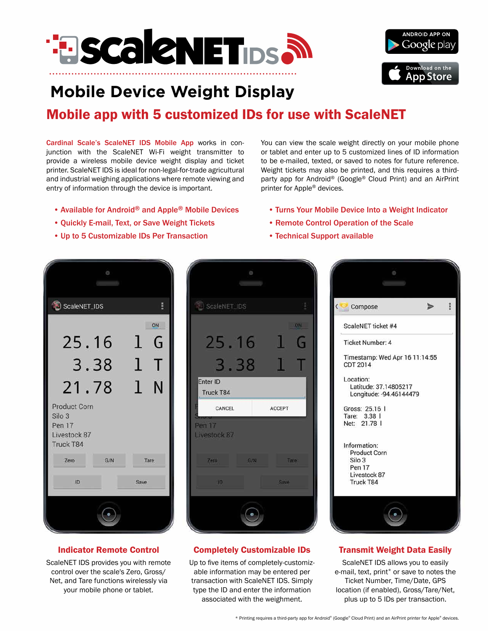



# **Mobile Device Weight Display**

## Mobile app with 5 customized IDs for use with ScaleNET

Cardinal Scale's ScaleNET IDS Mobile App works in conjunction with the ScaleNET Wi-Fi weight transmitter to provide a wireless mobile device weight display and ticket printer. ScaleNET IDS is ideal for non-legal-for-trade agricultural and industrial weighing applications where remote viewing and entry of information through the device is important.

- Available for Android® and Apple® Mobile Devices
- • Quickly E-mail, Text, or Save Weight Tickets
- • Up to 5 Customizable IDs Per Transaction

You can view the scale weight directly on your mobile phone or tablet and enter up to 5 customized lines of ID information to be e-mailed, texted, or saved to notes for future reference. Weight tickets may also be printed, and this requires a thirdparty app for Android® (Google® Cloud Print) and an AirPrint printer for Apple® devices.

- Turns Your Mobile Device Into a Weight Indicator
- • Remote Control Operation of the Scale
- • Technical Support available



#### Indicator Remote Control

ScaleNET IDS provides you with remote control over the scale's Zero, Gross/ Net, and Tare functions wirelessly via your mobile phone or tablet.

|               |              | O   |        |             |
|---------------|--------------|-----|--------|-------------|
|               | ScaleNET_IDS |     |        |             |
|               |              |     |        | <b>ON</b>   |
|               | 25.16        |     |        | G           |
|               | 3.38         |     |        |             |
| Enter ID      | Truck T84    |     |        |             |
|               | CANCEL       |     | ACCEPT |             |
| <b>Pen 17</b> | Livestock 87 |     |        |             |
|               | Zero         | G/N |        | <b>Tare</b> |
|               | 10           |     | Save   |             |
|               |              |     |        |             |

#### Completely Customizable IDs

Up to five items of completely-customizable information may be entered per transaction with ScaleNET IDS. Simply type the ID and enter the information associated with the weighment.



### Transmit Weight Data Easily

ScaleNET IDS allows you to easily e-mail, text, print\* or save to notes the Ticket Number, Time/Date, GPS location (if enabled), Gross/Tare/Net, plus up to 5 IDs per transaction.